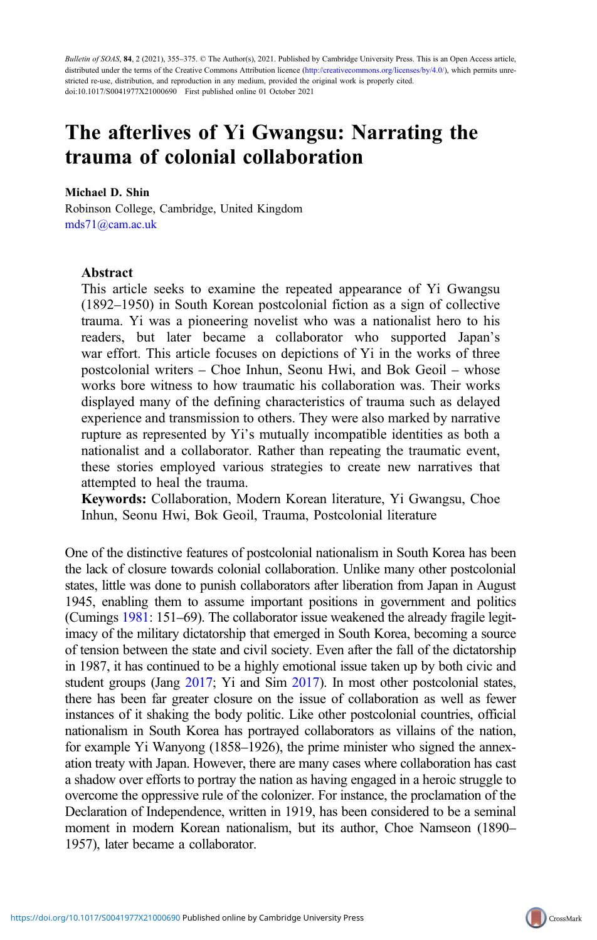Bulletin of SOAS, 84, 2 (2021), 355-375. © The Author(s), 2021. Published by Cambridge University Press. This is an Open Access article, distributed under the terms of the Creative Commons Attribution licence [\(http://creativecommons.org/licenses/by/4.0/](http://creativecommons.org/licenses/by/4.0/)), which permits unrestricted re-use, distribution, and reproduction in any medium, provided the original work is properly cited. doi:10.1017/S0041977X21000690 First published online 01 October 2021

# The afterlives of Yi Gwangsu: Narrating the trauma of colonial collaboration

### Michael D. Shin

Robinson College, Cambridge, United Kingdom [mds71@cam.ac.uk](mailto:mds71@cam.ac.uk)

### Abstract

This article seeks to examine the repeated appearance of Yi Gwangsu (1892–1950) in South Korean postcolonial fiction as a sign of collective trauma. Yi was a pioneering novelist who was a nationalist hero to his readers, but later became a collaborator who supported Japan's war effort. This article focuses on depictions of Yi in the works of three postcolonial writers – Choe Inhun, Seonu Hwi, and Bok Geoil – whose works bore witness to how traumatic his collaboration was. Their works displayed many of the defining characteristics of trauma such as delayed experience and transmission to others. They were also marked by narrative rupture as represented by Yi's mutually incompatible identities as both a nationalist and a collaborator. Rather than repeating the traumatic event, these stories employed various strategies to create new narratives that attempted to heal the trauma.

Keywords: Collaboration, Modern Korean literature, Yi Gwangsu, Choe Inhun, Seonu Hwi, Bok Geoil, Trauma, Postcolonial literature

One of the distinctive features of postcolonial nationalism in South Korea has been the lack of closure towards colonial collaboration. Unlike many other postcolonial states, little was done to punish collaborators after liberation from Japan in August 1945, enabling them to assume important positions in government and politics (Cumings [1981:](#page-18-0) 151–69). The collaborator issue weakened the already fragile legitimacy of the military dictatorship that emerged in South Korea, becoming a source of tension between the state and civil society. Even after the fall of the dictatorship in 1987, it has continued to be a highly emotional issue taken up by both civic and student groups (Jang [2017;](#page-19-0) Yi and Sim [2017\)](#page-20-0). In most other postcolonial states, there has been far greater closure on the issue of collaboration as well as fewer instances of it shaking the body politic. Like other postcolonial countries, official nationalism in South Korea has portrayed collaborators as villains of the nation, for example Yi Wanyong (1858–1926), the prime minister who signed the annexation treaty with Japan. However, there are many cases where collaboration has cast a shadow over efforts to portray the nation as having engaged in a heroic struggle to overcome the oppressive rule of the colonizer. For instance, the proclamation of the Declaration of Independence, written in 1919, has been considered to be a seminal moment in modern Korean nationalism, but its author, Choe Namseon (1890– 1957), later became a collaborator.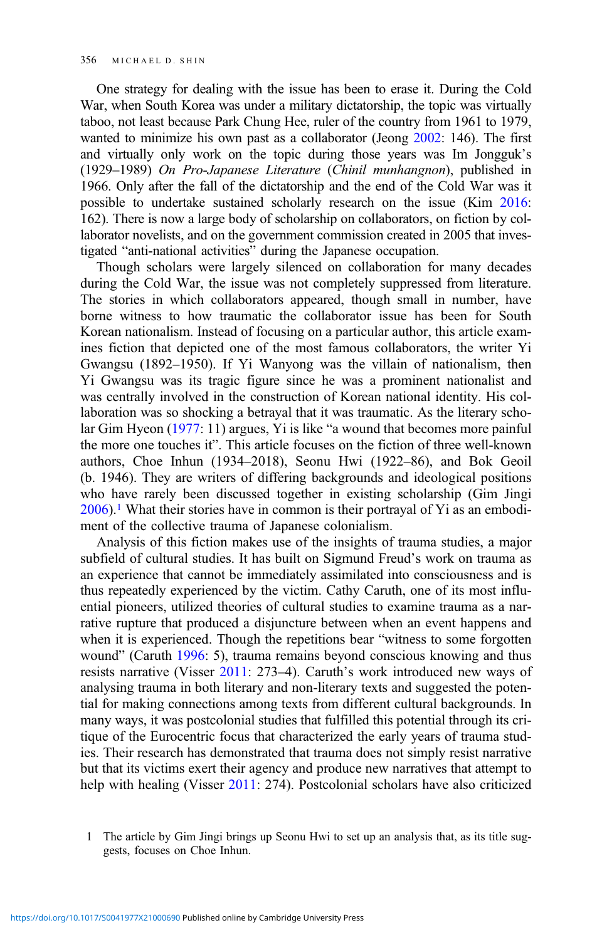One strategy for dealing with the issue has been to erase it. During the Cold War, when South Korea was under a military dictatorship, the topic was virtually taboo, not least because Park Chung Hee, ruler of the country from 1961 to 1979, wanted to minimize his own past as a collaborator (Jeong [2002](#page-19-0): 146). The first and virtually only work on the topic during those years was Im Jongguk's (1929–1989) On Pro-Japanese Literature (Chinil munhangnon), published in 1966. Only after the fall of the dictatorship and the end of the Cold War was it possible to undertake sustained scholarly research on the issue (Kim [2016](#page-19-0): 162). There is now a large body of scholarship on collaborators, on fiction by collaborator novelists, and on the government commission created in 2005 that investigated "anti-national activities" during the Japanese occupation.

Though scholars were largely silenced on collaboration for many decades during the Cold War, the issue was not completely suppressed from literature. The stories in which collaborators appeared, though small in number, have borne witness to how traumatic the collaborator issue has been for South Korean nationalism. Instead of focusing on a particular author, this article examines fiction that depicted one of the most famous collaborators, the writer Yi Gwangsu (1892–1950). If Yi Wanyong was the villain of nationalism, then Yi Gwangsu was its tragic figure since he was a prominent nationalist and was centrally involved in the construction of Korean national identity. His collaboration was so shocking a betrayal that it was traumatic. As the literary scholar Gim Hyeon [\(1977](#page-18-0): 11) argues, Yi is like "a wound that becomes more painful the more one touches it". This article focuses on the fiction of three well-known authors, Choe Inhun (1934–2018), Seonu Hwi (1922–86), and Bok Geoil (b. 1946). They are writers of differing backgrounds and ideological positions who have rarely been discussed together in existing scholarship (Gim Jingi  $2006$ ).<sup>1</sup> What their stories have in common is their portrayal of Yi as an embodiment of the collective trauma of Japanese colonialism.

Analysis of this fiction makes use of the insights of trauma studies, a major subfield of cultural studies. It has built on Sigmund Freud's work on trauma as an experience that cannot be immediately assimilated into consciousness and is thus repeatedly experienced by the victim. Cathy Caruth, one of its most influential pioneers, utilized theories of cultural studies to examine trauma as a narrative rupture that produced a disjuncture between when an event happens and when it is experienced. Though the repetitions bear "witness to some forgotten wound" (Caruth [1996:](#page-18-0) 5), trauma remains beyond conscious knowing and thus resists narrative (Visser [2011:](#page-20-0) 273–4). Caruth's work introduced new ways of analysing trauma in both literary and non-literary texts and suggested the potential for making connections among texts from different cultural backgrounds. In many ways, it was postcolonial studies that fulfilled this potential through its critique of the Eurocentric focus that characterized the early years of trauma studies. Their research has demonstrated that trauma does not simply resist narrative but that its victims exert their agency and produce new narratives that attempt to help with healing (Visser [2011](#page-20-0): 274). Postcolonial scholars have also criticized

<sup>1</sup> The article by Gim Jingi brings up Seonu Hwi to set up an analysis that, as its title suggests, focuses on Choe Inhun.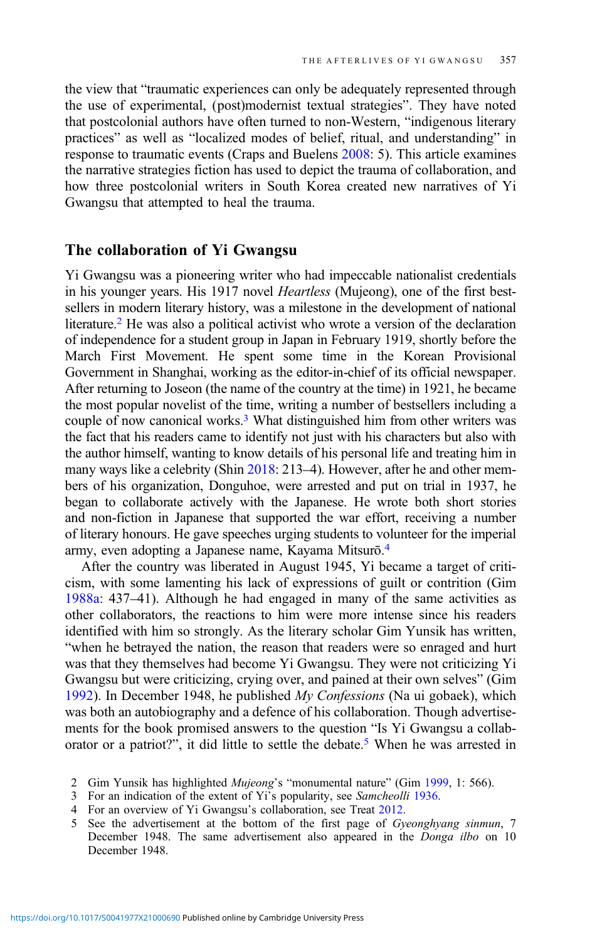the view that "traumatic experiences can only be adequately represented through the use of experimental, (post)modernist textual strategies". They have noted that postcolonial authors have often turned to non-Western, "indigenous literary practices" as well as "localized modes of belief, ritual, and understanding" in response to traumatic events (Craps and Buelens [2008](#page-18-0): 5). This article examines the narrative strategies fiction has used to depict the trauma of collaboration, and how three postcolonial writers in South Korea created new narratives of Yi Gwangsu that attempted to heal the trauma.

### The collaboration of Yi Gwangsu

Yi Gwangsu was a pioneering writer who had impeccable nationalist credentials in his younger years. His 1917 novel Heartless (Mujeong), one of the first bestsellers in modern literary history, was a milestone in the development of national literature.<sup>2</sup> He was also a political activist who wrote a version of the declaration of independence for a student group in Japan in February 1919, shortly before the March First Movement. He spent some time in the Korean Provisional Government in Shanghai, working as the editor-in-chief of its official newspaper. After returning to Joseon (the name of the country at the time) in 1921, he became the most popular novelist of the time, writing a number of bestsellers including a couple of now canonical works.<sup>3</sup> What distinguished him from other writers was the fact that his readers came to identify not just with his characters but also with the author himself, wanting to know details of his personal life and treating him in many ways like a celebrity (Shin [2018:](#page-20-0) 213-4). However, after he and other members of his organization, Donguhoe, were arrested and put on trial in 1937, he began to collaborate actively with the Japanese. He wrote both short stories and non-fiction in Japanese that supported the war effort, receiving a number of literary honours. He gave speeches urging students to volunteer for the imperial army, even adopting a Japanese name, Kayama Mitsurō. 4

After the country was liberated in August 1945, Yi became a target of criticism, with some lamenting his lack of expressions of guilt or contrition (Gim [1988a:](#page-18-0) 437–41). Although he had engaged in many of the same activities as other collaborators, the reactions to him were more intense since his readers identified with him so strongly. As the literary scholar Gim Yunsik has written, "when he betrayed the nation, the reason that readers were so enraged and hurt was that they themselves had become Yi Gwangsu. They were not criticizing Yi Gwangsu but were criticizing, crying over, and pained at their own selves" (Gim [1992](#page-18-0)). In December 1948, he published My Confessions (Na ui gobaek), which was both an autobiography and a defence of his collaboration. Though advertisements for the book promised answers to the question "Is Yi Gwangsu a collaborator or a patriot?", it did little to settle the debate.<sup>5</sup> When he was arrested in

4 For an overview of Yi Gwangsu's collaboration, see Treat [2012.](#page-20-0)

<sup>2</sup> Gim Yunsik has highlighted Mujeong's "monumental nature" (Gim [1999,](#page-19-0) 1: 566).

<sup>3</sup> For an indication of the extent of Yi's popularity, see Samcheolli [1936.](#page-20-0)

<sup>5</sup> See the advertisement at the bottom of the first page of *Gyeonghyang sinmun*, 7 December 1948. The same advertisement also appeared in the *Donga ilbo* on 10 December 1948.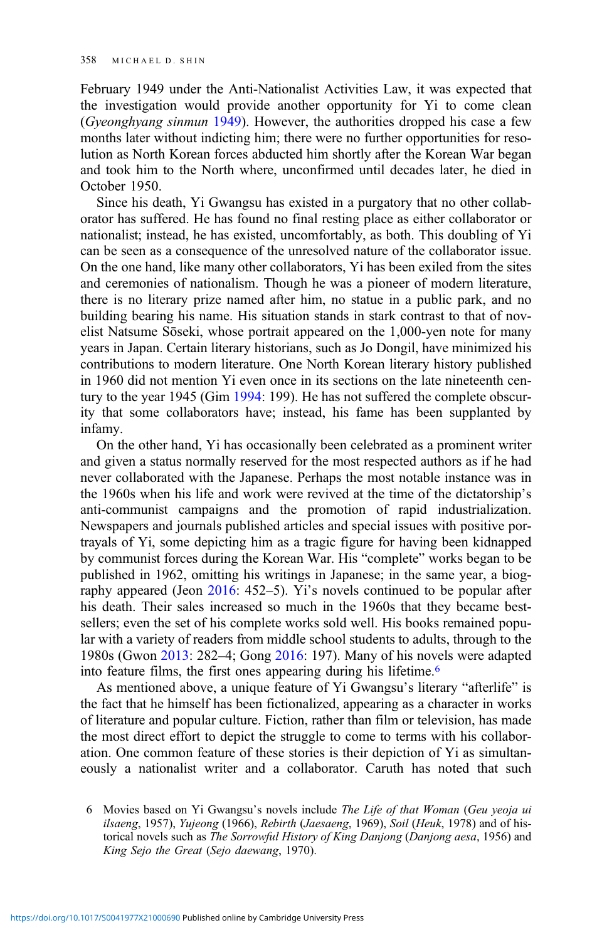February 1949 under the Anti-Nationalist Activities Law, it was expected that the investigation would provide another opportunity for Yi to come clean (Gyeonghyang sinmun [1949\)](#page-19-0). However, the authorities dropped his case a few months later without indicting him; there were no further opportunities for resolution as North Korean forces abducted him shortly after the Korean War began and took him to the North where, unconfirmed until decades later, he died in October 1950.

Since his death, Yi Gwangsu has existed in a purgatory that no other collaborator has suffered. He has found no final resting place as either collaborator or nationalist; instead, he has existed, uncomfortably, as both. This doubling of Yi can be seen as a consequence of the unresolved nature of the collaborator issue. On the one hand, like many other collaborators, Yi has been exiled from the sites and ceremonies of nationalism. Though he was a pioneer of modern literature, there is no literary prize named after him, no statue in a public park, and no building bearing his name. His situation stands in stark contrast to that of novelist Natsume Sōseki, whose portrait appeared on the 1,000-yen note for many years in Japan. Certain literary historians, such as Jo Dongil, have minimized his contributions to modern literature. One North Korean literary history published in 1960 did not mention Yi even once in its sections on the late nineteenth century to the year 1945 (Gim [1994:](#page-18-0) 199). He has not suffered the complete obscurity that some collaborators have; instead, his fame has been supplanted by infamy.

On the other hand, Yi has occasionally been celebrated as a prominent writer and given a status normally reserved for the most respected authors as if he had never collaborated with the Japanese. Perhaps the most notable instance was in the 1960s when his life and work were revived at the time of the dictatorship's anti-communist campaigns and the promotion of rapid industrialization. Newspapers and journals published articles and special issues with positive portrayals of Yi, some depicting him as a tragic figure for having been kidnapped by communist forces during the Korean War. His "complete" works began to be published in 1962, omitting his writings in Japanese; in the same year, a biog-raphy appeared (Jeon [2016](#page-19-0): 452–5). Yi's novels continued to be popular after his death. Their sales increased so much in the 1960s that they became bestsellers; even the set of his complete works sold well. His books remained popular with a variety of readers from middle school students to adults, through to the 1980s (Gwon [2013](#page-19-0): 282–4; Gong [2016](#page-19-0): 197). Many of his novels were adapted into feature films, the first ones appearing during his lifetime.6

As mentioned above, a unique feature of Yi Gwangsu's literary "afterlife" is the fact that he himself has been fictionalized, appearing as a character in works of literature and popular culture. Fiction, rather than film or television, has made the most direct effort to depict the struggle to come to terms with his collaboration. One common feature of these stories is their depiction of Yi as simultaneously a nationalist writer and a collaborator. Caruth has noted that such

<sup>6</sup> Movies based on Yi Gwangsu's novels include The Life of that Woman (Geu yeoja ui ilsaeng, 1957), Yujeong (1966), Rebirth (Jaesaeng, 1969), Soil (Heuk, 1978) and of historical novels such as The Sorrowful History of King Danjong (Danjong aesa, 1956) and King Sejo the Great (Sejo daewang, 1970).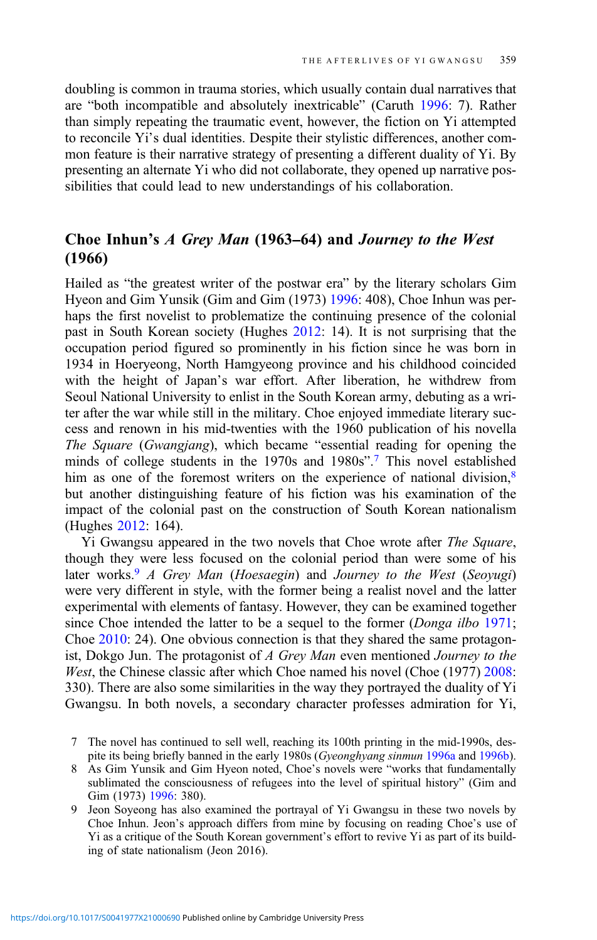doubling is common in trauma stories, which usually contain dual narratives that are "both incompatible and absolutely inextricable" (Caruth [1996](#page-18-0): 7). Rather than simply repeating the traumatic event, however, the fiction on Yi attempted to reconcile Yi's dual identities. Despite their stylistic differences, another common feature is their narrative strategy of presenting a different duality of Yi. By presenting an alternate Yi who did not collaborate, they opened up narrative possibilities that could lead to new understandings of his collaboration.

# Choe Inhun'<sup>s</sup> A Grey Man (1963–64) and Journey to the West (1966)

Hailed as "the greatest writer of the postwar era" by the literary scholars Gim Hyeon and Gim Yunsik (Gim and Gim (1973) [1996](#page-19-0): 408), Choe Inhun was perhaps the first novelist to problematize the continuing presence of the colonial past in South Korean society (Hughes [2012](#page-19-0): 14). It is not surprising that the occupation period figured so prominently in his fiction since he was born in 1934 in Hoeryeong, North Hamgyeong province and his childhood coincided with the height of Japan's war effort. After liberation, he withdrew from Seoul National University to enlist in the South Korean army, debuting as a writer after the war while still in the military. Choe enjoyed immediate literary success and renown in his mid-twenties with the 1960 publication of his novella The Square (Gwangjang), which became "essential reading for opening the minds of college students in the 1970s and 1980s". <sup>7</sup> This novel established him as one of the foremost writers on the experience of national division,<sup>8</sup> but another distinguishing feature of his fiction was his examination of the impact of the colonial past on the construction of South Korean nationalism (Hughes [2012:](#page-19-0) 164).

Yi Gwangsu appeared in the two novels that Choe wrote after The Square, though they were less focused on the colonial period than were some of his later works.<sup>9</sup> A Grey Man (Hoesaegin) and Journey to the West (Seoyugi) were very different in style, with the former being a realist novel and the latter experimental with elements of fantasy. However, they can be examined together since Choe intended the latter to be a sequel to the former (Donga ilbo [1971;](#page-18-0) Choe [2010](#page-18-0): 24). One obvious connection is that they shared the same protagonist, Dokgo Jun. The protagonist of A Grey Man even mentioned Journey to the West, the Chinese classic after which Choe named his novel (Choe (1977) [2008:](#page-18-0) 330). There are also some similarities in the way they portrayed the duality of Yi Gwangsu. In both novels, a secondary character professes admiration for Yi,

- 8 As Gim Yunsik and Gim Hyeon noted, Choe's novels were "works that fundamentally sublimated the consciousness of refugees into the level of spiritual history" (Gim and Gim (1973) [1996:](#page-19-0) 380).
- 9 Jeon Soyeong has also examined the portrayal of Yi Gwangsu in these two novels by Choe Inhun. Jeon's approach differs from mine by focusing on reading Choe's use of Yi as a critique of the South Korean government's effort to revive Yi as part of its building of state nationalism (Jeon 2016).

<sup>7</sup> The novel has continued to sell well, reaching its 100th printing in the mid-1990s, despite its being briefly banned in the early 1980s (Gyeonghyang sinmun [1996a](#page-19-0) and [1996b\)](#page-19-0).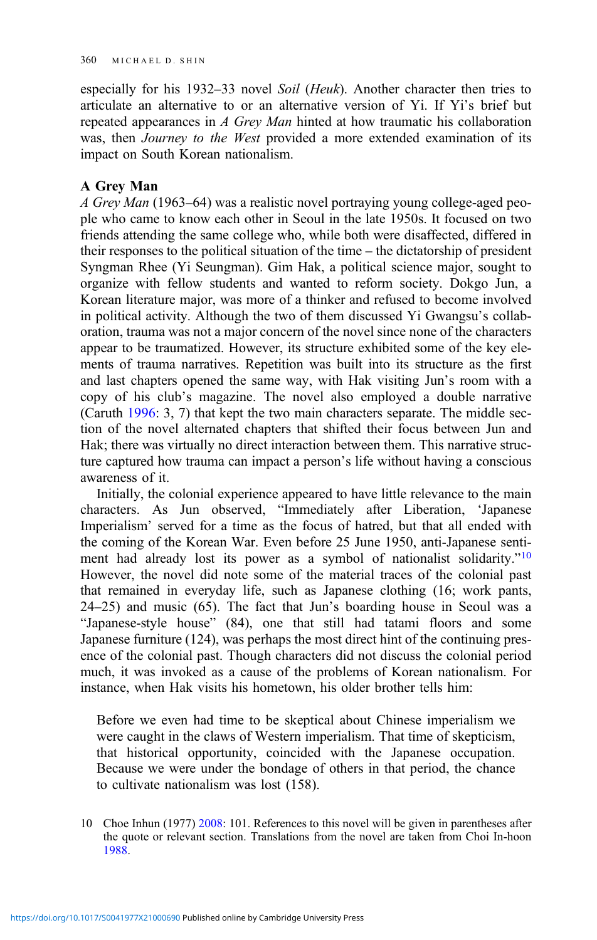especially for his 1932–33 novel Soil (Heuk). Another character then tries to articulate an alternative to or an alternative version of Yi. If Yi's brief but repeated appearances in A Grey Man hinted at how traumatic his collaboration was, then Journey to the West provided a more extended examination of its impact on South Korean nationalism.

### A Grey Man

A Grey Man (1963–64) was a realistic novel portraying young college-aged people who came to know each other in Seoul in the late 1950s. It focused on two friends attending the same college who, while both were disaffected, differed in their responses to the political situation of the time – the dictatorship of president Syngman Rhee (Yi Seungman). Gim Hak, a political science major, sought to organize with fellow students and wanted to reform society. Dokgo Jun, a Korean literature major, was more of a thinker and refused to become involved in political activity. Although the two of them discussed Yi Gwangsu's collaboration, trauma was not a major concern of the novel since none of the characters appear to be traumatized. However, its structure exhibited some of the key elements of trauma narratives. Repetition was built into its structure as the first and last chapters opened the same way, with Hak visiting Jun's room with a copy of his club's magazine. The novel also employed a double narrative (Caruth [1996](#page-18-0): 3, 7) that kept the two main characters separate. The middle section of the novel alternated chapters that shifted their focus between Jun and Hak; there was virtually no direct interaction between them. This narrative structure captured how trauma can impact a person's life without having a conscious awareness of it.

Initially, the colonial experience appeared to have little relevance to the main characters. As Jun observed, "Immediately after Liberation, 'Japanese Imperialism' served for a time as the focus of hatred, but that all ended with the coming of the Korean War. Even before 25 June 1950, anti-Japanese sentiment had already lost its power as a symbol of nationalist solidarity."<sup>10</sup> However, the novel did note some of the material traces of the colonial past that remained in everyday life, such as Japanese clothing (16; work pants, 24–25) and music (65). The fact that Jun's boarding house in Seoul was a "Japanese-style house" (84), one that still had tatami floors and some Japanese furniture (124), was perhaps the most direct hint of the continuing presence of the colonial past. Though characters did not discuss the colonial period much, it was invoked as a cause of the problems of Korean nationalism. For instance, when Hak visits his hometown, his older brother tells him:

Before we even had time to be skeptical about Chinese imperialism we were caught in the claws of Western imperialism. That time of skepticism, that historical opportunity, coincided with the Japanese occupation. Because we were under the bondage of others in that period, the chance to cultivate nationalism was lost (158).

10 Choe Inhun (1977) [2008](#page-18-0): 101. References to this novel will be given in parentheses after the quote or relevant section. Translations from the novel are taken from Choi In-hoon [1988.](#page-18-0)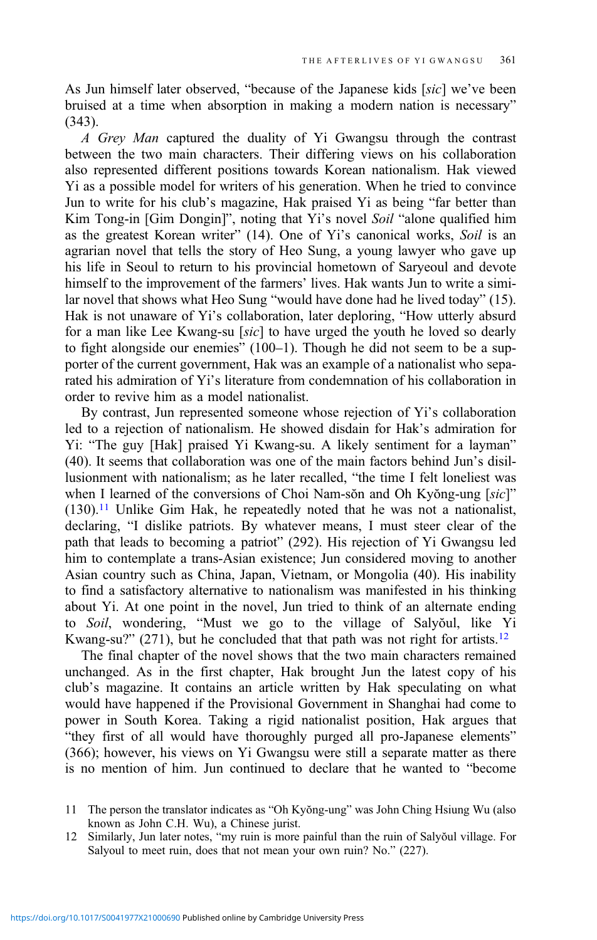As Jun himself later observed, "because of the Japanese kids [sic] we've been bruised at a time when absorption in making a modern nation is necessary" (343).

A Grey Man captured the duality of Yi Gwangsu through the contrast between the two main characters. Their differing views on his collaboration also represented different positions towards Korean nationalism. Hak viewed Yi as a possible model for writers of his generation. When he tried to convince Jun to write for his club's magazine, Hak praised Yi as being "far better than Kim Tong-in [Gim Dongin]", noting that Yi's novel Soil "alone qualified him as the greatest Korean writer" (14). One of Yi's canonical works, Soil is an agrarian novel that tells the story of Heo Sung, a young lawyer who gave up his life in Seoul to return to his provincial hometown of Saryeoul and devote himself to the improvement of the farmers' lives. Hak wants Jun to write a similar novel that shows what Heo Sung "would have done had he lived today" (15). Hak is not unaware of Yi's collaboration, later deploring, "How utterly absurd for a man like Lee Kwang-su [sic] to have urged the youth he loved so dearly to fight alongside our enemies" (100–1). Though he did not seem to be a supporter of the current government, Hak was an example of a nationalist who separated his admiration of Yi's literature from condemnation of his collaboration in order to revive him as a model nationalist.

By contrast, Jun represented someone whose rejection of Yi's collaboration led to a rejection of nationalism. He showed disdain for Hak's admiration for Yi: "The guy [Hak] praised Yi Kwang-su. A likely sentiment for a layman" (40). It seems that collaboration was one of the main factors behind Jun's disillusionment with nationalism; as he later recalled, "the time I felt loneliest was when I learned of the conversions of Choi Nam-sŏn and Oh Kyŏng-ung [sic]"  $(130).$ <sup>11</sup> Unlike Gim Hak, he repeatedly noted that he was not a nationalist, declaring, "I dislike patriots. By whatever means, I must steer clear of the path that leads to becoming a patriot" (292). His rejection of Yi Gwangsu led him to contemplate a trans-Asian existence; Jun considered moving to another Asian country such as China, Japan, Vietnam, or Mongolia (40). His inability to find a satisfactory alternative to nationalism was manifested in his thinking about Yi. At one point in the novel, Jun tried to think of an alternate ending to Soil, wondering, "Must we go to the village of Salyŏul, like Yi Kwang-su?" (271), but he concluded that that path was not right for artists.<sup>12</sup>

The final chapter of the novel shows that the two main characters remained unchanged. As in the first chapter, Hak brought Jun the latest copy of his club's magazine. It contains an article written by Hak speculating on what would have happened if the Provisional Government in Shanghai had come to power in South Korea. Taking a rigid nationalist position, Hak argues that "they first of all would have thoroughly purged all pro-Japanese elements" (366); however, his views on Yi Gwangsu were still a separate matter as there is no mention of him. Jun continued to declare that he wanted to "become

- 11 The person the translator indicates as "Oh Kyŏng-ung" was John Ching Hsiung Wu (also known as John C.H. Wu), a Chinese jurist.
- 12 Similarly, Jun later notes, "my ruin is more painful than the ruin of Salyŏul village. For Salyoul to meet ruin, does that not mean your own ruin? No." (227).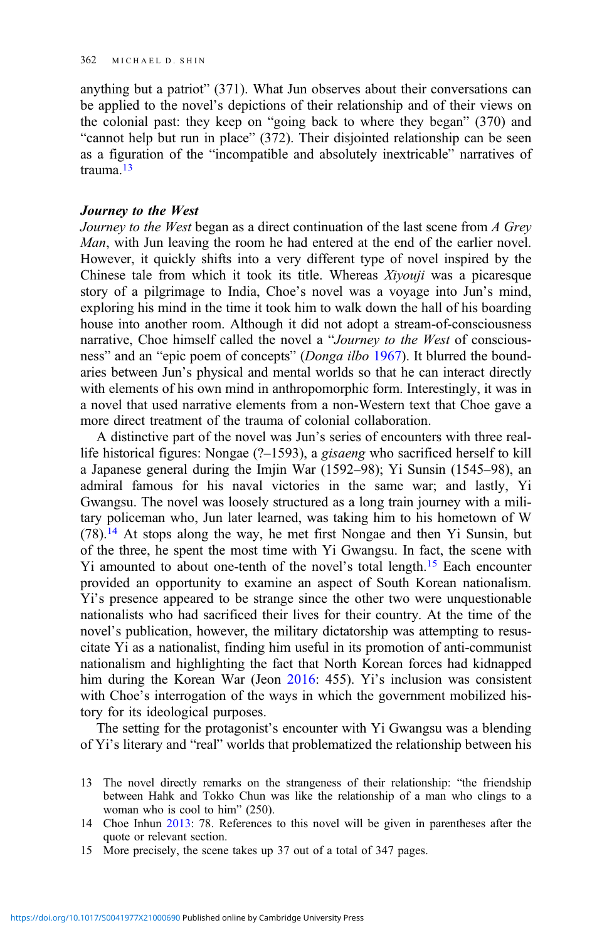anything but a patriot" (371). What Jun observes about their conversations can be applied to the novel's depictions of their relationship and of their views on the colonial past: they keep on "going back to where they began" (370) and "cannot help but run in place" (372). Their disjointed relationship can be seen as a figuration of the "incompatible and absolutely inextricable" narratives of trauma.<sup>13</sup>

Journey to the West began as a direct continuation of the last scene from A Grey Man, with Jun leaving the room he had entered at the end of the earlier novel. However, it quickly shifts into a very different type of novel inspired by the Chinese tale from which it took its title. Whereas Xiyouji was a picaresque story of a pilgrimage to India, Choe's novel was a voyage into Jun's mind, exploring his mind in the time it took him to walk down the hall of his boarding house into another room. Although it did not adopt a stream-of-consciousness narrative, Choe himself called the novel a "Journey to the West of conscious-ness" and an "epic poem of concepts" (Donga ilbo [1967\)](#page-18-0). It blurred the boundaries between Jun's physical and mental worlds so that he can interact directly with elements of his own mind in anthropomorphic form. Interestingly, it was in a novel that used narrative elements from a non-Western text that Choe gave a more direct treatment of the trauma of colonial collaboration.

A distinctive part of the novel was Jun's series of encounters with three reallife historical figures: Nongae (?–1593), a gisaeng who sacrificed herself to kill a Japanese general during the Imjin War (1592–98); Yi Sunsin (1545–98), an admiral famous for his naval victories in the same war; and lastly, Yi Gwangsu. The novel was loosely structured as a long train journey with a military policeman who, Jun later learned, was taking him to his hometown of W (78).14 At stops along the way, he met first Nongae and then Yi Sunsin, but of the three, he spent the most time with Yi Gwangsu. In fact, the scene with Yi amounted to about one-tenth of the novel's total length.<sup>15</sup> Each encounter provided an opportunity to examine an aspect of South Korean nationalism. Yi's presence appeared to be strange since the other two were unquestionable nationalists who had sacrificed their lives for their country. At the time of the novel's publication, however, the military dictatorship was attempting to resuscitate Yi as a nationalist, finding him useful in its promotion of anti-communist nationalism and highlighting the fact that North Korean forces had kidnapped him during the Korean War (Jeon [2016:](#page-19-0) 455). Yi's inclusion was consistent with Choe's interrogation of the ways in which the government mobilized history for its ideological purposes.

The setting for the protagonist's encounter with Yi Gwangsu was a blending of Yi's literary and "real" worlds that problematized the relationship between his

- 13 The novel directly remarks on the strangeness of their relationship: "the friendship between Hahk and Tokko Chun was like the relationship of a man who clings to a woman who is cool to him" (250).
- 14 Choe Inhun [2013:](#page-18-0) 78. References to this novel will be given in parentheses after the quote or relevant section.
- 15 More precisely, the scene takes up 37 out of a total of 347 pages.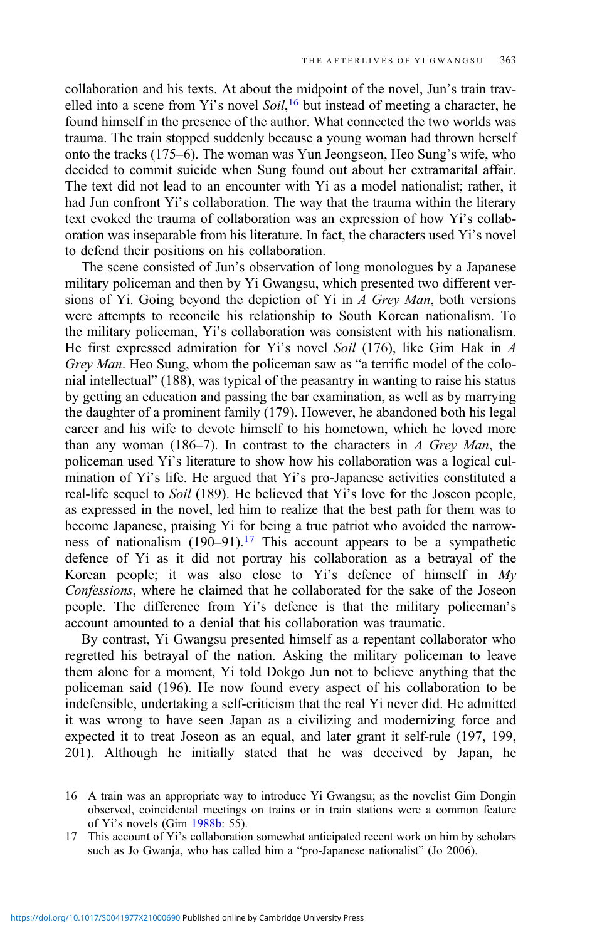collaboration and his texts. At about the midpoint of the novel, Jun's train travelled into a scene from Yi's novel Soil,<sup>16</sup> but instead of meeting a character, he found himself in the presence of the author. What connected the two worlds was trauma. The train stopped suddenly because a young woman had thrown herself onto the tracks (175–6). The woman was Yun Jeongseon, Heo Sung's wife, who decided to commit suicide when Sung found out about her extramarital affair. The text did not lead to an encounter with Yi as a model nationalist; rather, it had Jun confront Yi's collaboration. The way that the trauma within the literary text evoked the trauma of collaboration was an expression of how Yi's collaboration was inseparable from his literature. In fact, the characters used Yi's novel to defend their positions on his collaboration.

The scene consisted of Jun's observation of long monologues by a Japanese military policeman and then by Yi Gwangsu, which presented two different versions of Yi. Going beyond the depiction of Yi in A Grey Man, both versions were attempts to reconcile his relationship to South Korean nationalism. To the military policeman, Yi's collaboration was consistent with his nationalism. He first expressed admiration for Yi's novel Soil (176), like Gim Hak in A Grey Man. Heo Sung, whom the policeman saw as "a terrific model of the colonial intellectual" (188), was typical of the peasantry in wanting to raise his status by getting an education and passing the bar examination, as well as by marrying the daughter of a prominent family (179). However, he abandoned both his legal career and his wife to devote himself to his hometown, which he loved more than any woman (186–7). In contrast to the characters in  $\Lambda$  Grey Man, the policeman used Yi's literature to show how his collaboration was a logical culmination of Yi's life. He argued that Yi's pro-Japanese activities constituted a real-life sequel to Soil (189). He believed that Yi's love for the Joseon people, as expressed in the novel, led him to realize that the best path for them was to become Japanese, praising Yi for being a true patriot who avoided the narrowness of nationalism  $(190-91)$ .<sup>17</sup> This account appears to be a sympathetic defence of Yi as it did not portray his collaboration as a betrayal of the Korean people; it was also close to Yi's defence of himself in  $My$ Confessions, where he claimed that he collaborated for the sake of the Joseon people. The difference from Yi's defence is that the military policeman's account amounted to a denial that his collaboration was traumatic.

By contrast, Yi Gwangsu presented himself as a repentant collaborator who regretted his betrayal of the nation. Asking the military policeman to leave them alone for a moment, Yi told Dokgo Jun not to believe anything that the policeman said (196). He now found every aspect of his collaboration to be indefensible, undertaking a self-criticism that the real Yi never did. He admitted it was wrong to have seen Japan as a civilizing and modernizing force and expected it to treat Joseon as an equal, and later grant it self-rule (197, 199, 201). Although he initially stated that he was deceived by Japan, he

<sup>16</sup> A train was an appropriate way to introduce Yi Gwangsu; as the novelist Gim Dongin observed, coincidental meetings on trains or in train stations were a common feature of Yi's novels (Gim  $1988b$ : 55).

<sup>17</sup> This account of Yi's collaboration somewhat anticipated recent work on him by scholars such as Jo Gwanja, who has called him a "pro-Japanese nationalist" (Jo 2006).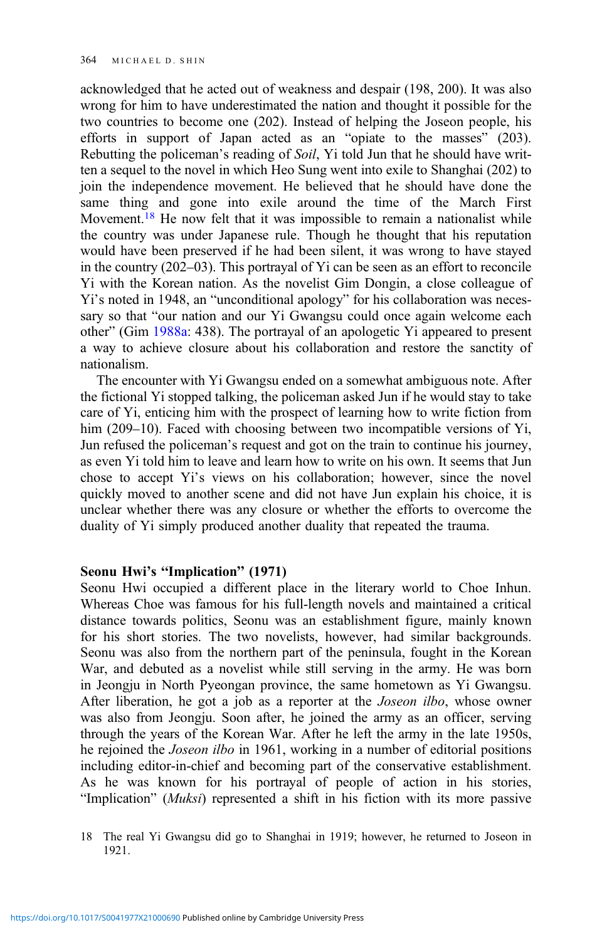acknowledged that he acted out of weakness and despair (198, 200). It was also wrong for him to have underestimated the nation and thought it possible for the two countries to become one (202). Instead of helping the Joseon people, his efforts in support of Japan acted as an "opiate to the masses" (203). Rebutting the policeman's reading of Soil, Yi told Jun that he should have written a sequel to the novel in which Heo Sung went into exile to Shanghai (202) to join the independence movement. He believed that he should have done the same thing and gone into exile around the time of the March First Movement.<sup>18</sup> He now felt that it was impossible to remain a nationalist while the country was under Japanese rule. Though he thought that his reputation would have been preserved if he had been silent, it was wrong to have stayed in the country (202–03). This portrayal of Yi can be seen as an effort to reconcile Yi with the Korean nation. As the novelist Gim Dongin, a close colleague of Yi's noted in 1948, an "unconditional apology" for his collaboration was necessary so that "our nation and our Yi Gwangsu could once again welcome each other" (Gim [1988a:](#page-18-0) 438). The portrayal of an apologetic Yi appeared to present a way to achieve closure about his collaboration and restore the sanctity of nationalism.

The encounter with Yi Gwangsu ended on a somewhat ambiguous note. After the fictional Yi stopped talking, the policeman asked Jun if he would stay to take care of Yi, enticing him with the prospect of learning how to write fiction from him (209–10). Faced with choosing between two incompatible versions of Yi, Jun refused the policeman's request and got on the train to continue his journey, as even Yi told him to leave and learn how to write on his own. It seems that Jun chose to accept Yi's views on his collaboration; however, since the novel quickly moved to another scene and did not have Jun explain his choice, it is unclear whether there was any closure or whether the efforts to overcome the duality of Yi simply produced another duality that repeated the trauma.

### Seonu Hwi's "Implication" (1971)

Seonu Hwi occupied a different place in the literary world to Choe Inhun. Whereas Choe was famous for his full-length novels and maintained a critical distance towards politics, Seonu was an establishment figure, mainly known for his short stories. The two novelists, however, had similar backgrounds. Seonu was also from the northern part of the peninsula, fought in the Korean War, and debuted as a novelist while still serving in the army. He was born in Jeongju in North Pyeongan province, the same hometown as Yi Gwangsu. After liberation, he got a job as a reporter at the *Joseon ilbo*, whose owner was also from Jeongju. Soon after, he joined the army as an officer, serving through the years of the Korean War. After he left the army in the late 1950s, he rejoined the Joseon ilbo in 1961, working in a number of editorial positions including editor-in-chief and becoming part of the conservative establishment. As he was known for his portrayal of people of action in his stories, "Implication" (Muksi) represented a shift in his fiction with its more passive

<sup>18</sup> The real Yi Gwangsu did go to Shanghai in 1919; however, he returned to Joseon in 1921.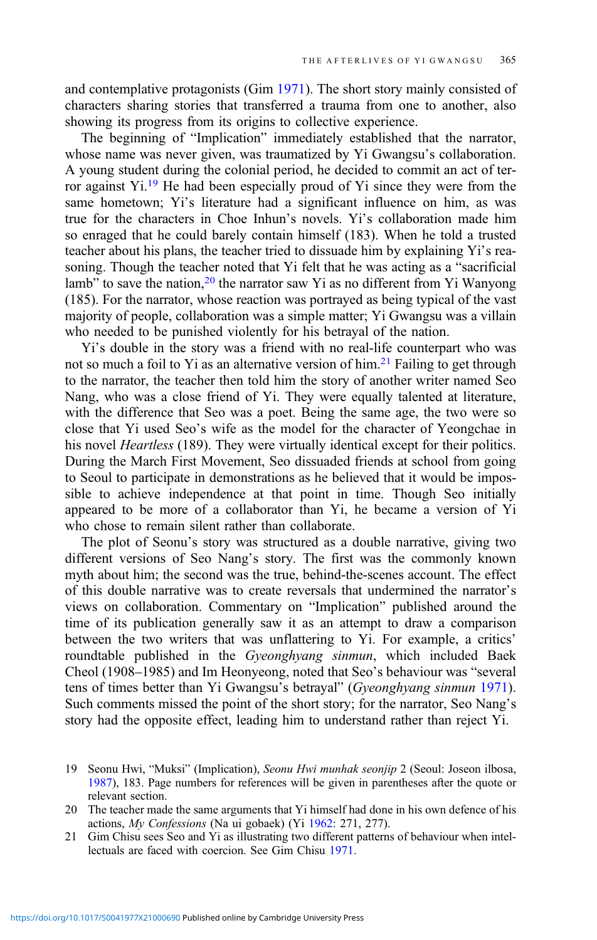and contemplative protagonists (Gim [1971](#page-18-0)). The short story mainly consisted of characters sharing stories that transferred a trauma from one to another, also showing its progress from its origins to collective experience.

The beginning of "Implication" immediately established that the narrator, whose name was never given, was traumatized by Yi Gwangsu's collaboration. A young student during the colonial period, he decided to commit an act of terror against Yi.19 He had been especially proud of Yi since they were from the same hometown; Yi's literature had a significant influence on him, as was true for the characters in Choe Inhun's novels. Yi's collaboration made him so enraged that he could barely contain himself (183). When he told a trusted teacher about his plans, the teacher tried to dissuade him by explaining Yi's reasoning. Though the teacher noted that Yi felt that he was acting as a "sacrificial lamb" to save the nation,  $2^0$  the narrator saw Yi as no different from Yi Wanyong (185). For the narrator, whose reaction was portrayed as being typical of the vast majority of people, collaboration was a simple matter; Yi Gwangsu was a villain who needed to be punished violently for his betrayal of the nation.

Yi's double in the story was a friend with no real-life counterpart who was not so much a foil to Yi as an alternative version of him.<sup>21</sup> Failing to get through to the narrator, the teacher then told him the story of another writer named Seo Nang, who was a close friend of Yi. They were equally talented at literature, with the difference that Seo was a poet. Being the same age, the two were so close that Yi used Seo's wife as the model for the character of Yeongchae in his novel Heartless (189). They were virtually identical except for their politics. During the March First Movement, Seo dissuaded friends at school from going to Seoul to participate in demonstrations as he believed that it would be impossible to achieve independence at that point in time. Though Seo initially appeared to be more of a collaborator than Yi, he became a version of Yi who chose to remain silent rather than collaborate.

The plot of Seonu's story was structured as a double narrative, giving two different versions of Seo Nang's story. The first was the commonly known myth about him; the second was the true, behind-the-scenes account. The effect of this double narrative was to create reversals that undermined the narrator's views on collaboration. Commentary on "Implication" published around the time of its publication generally saw it as an attempt to draw a comparison between the two writers that was unflattering to Yi. For example, a critics' roundtable published in the Gyeonghyang sinmun, which included Baek Cheol (1908–1985) and Im Heonyeong, noted that Seo's behaviour was "several tens of times better than Yi Gwangsu's betrayal" (Gyeonghyang sinmun [1971\)](#page-19-0). Such comments missed the point of the short story; for the narrator, Seo Nang's story had the opposite effect, leading him to understand rather than reject Yi.

- 19 Seonu Hwi, "Muksi" (Implication), Seonu Hwi munhak seonjip 2 (Seoul: Joseon ilbosa, [1987](#page-20-0)), 183. Page numbers for references will be given in parentheses after the quote or relevant section.
- 20 The teacher made the same arguments that Yi himself had done in his own defence of his actions, My Confessions (Na ui gobaek) (Yi [1962:](#page-20-0) 271, 277).
- 21 Gim Chisu sees Seo and Yi as illustrating two different patterns of behaviour when intellectuals are faced with coercion. See Gim Chisu [1971](#page-18-0).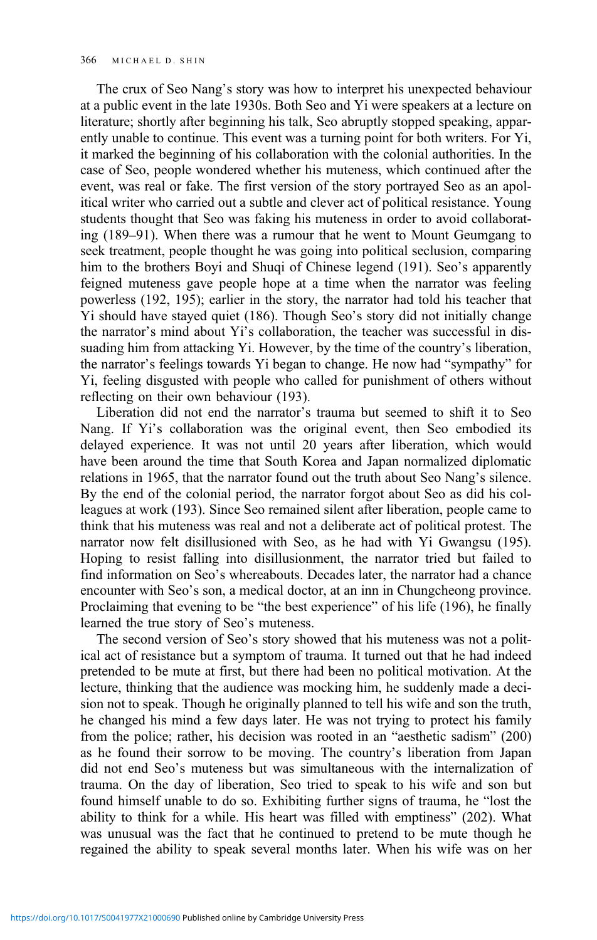The crux of Seo Nang's story was how to interpret his unexpected behaviour at a public event in the late 1930s. Both Seo and Yi were speakers at a lecture on literature; shortly after beginning his talk, Seo abruptly stopped speaking, apparently unable to continue. This event was a turning point for both writers. For Yi, it marked the beginning of his collaboration with the colonial authorities. In the case of Seo, people wondered whether his muteness, which continued after the event, was real or fake. The first version of the story portrayed Seo as an apolitical writer who carried out a subtle and clever act of political resistance. Young students thought that Seo was faking his muteness in order to avoid collaborating (189–91). When there was a rumour that he went to Mount Geumgang to seek treatment, people thought he was going into political seclusion, comparing him to the brothers Boyi and Shuqi of Chinese legend (191). Seo's apparently feigned muteness gave people hope at a time when the narrator was feeling powerless (192, 195); earlier in the story, the narrator had told his teacher that Yi should have stayed quiet (186). Though Seo's story did not initially change the narrator's mind about Yi's collaboration, the teacher was successful in dissuading him from attacking Yi. However, by the time of the country's liberation, the narrator's feelings towards Yi began to change. He now had "sympathy" for Yi, feeling disgusted with people who called for punishment of others without reflecting on their own behaviour (193).

Liberation did not end the narrator's trauma but seemed to shift it to Seo Nang. If Yi's collaboration was the original event, then Seo embodied its delayed experience. It was not until 20 years after liberation, which would have been around the time that South Korea and Japan normalized diplomatic relations in 1965, that the narrator found out the truth about Seo Nang's silence. By the end of the colonial period, the narrator forgot about Seo as did his colleagues at work (193). Since Seo remained silent after liberation, people came to think that his muteness was real and not a deliberate act of political protest. The narrator now felt disillusioned with Seo, as he had with Yi Gwangsu (195). Hoping to resist falling into disillusionment, the narrator tried but failed to find information on Seo's whereabouts. Decades later, the narrator had a chance encounter with Seo's son, a medical doctor, at an inn in Chungcheong province. Proclaiming that evening to be "the best experience" of his life (196), he finally learned the true story of Seo's muteness.

The second version of Seo's story showed that his muteness was not a political act of resistance but a symptom of trauma. It turned out that he had indeed pretended to be mute at first, but there had been no political motivation. At the lecture, thinking that the audience was mocking him, he suddenly made a decision not to speak. Though he originally planned to tell his wife and son the truth, he changed his mind a few days later. He was not trying to protect his family from the police; rather, his decision was rooted in an "aesthetic sadism" (200) as he found their sorrow to be moving. The country's liberation from Japan did not end Seo's muteness but was simultaneous with the internalization of trauma. On the day of liberation, Seo tried to speak to his wife and son but found himself unable to do so. Exhibiting further signs of trauma, he "lost the ability to think for a while. His heart was filled with emptiness" (202). What was unusual was the fact that he continued to pretend to be mute though he regained the ability to speak several months later. When his wife was on her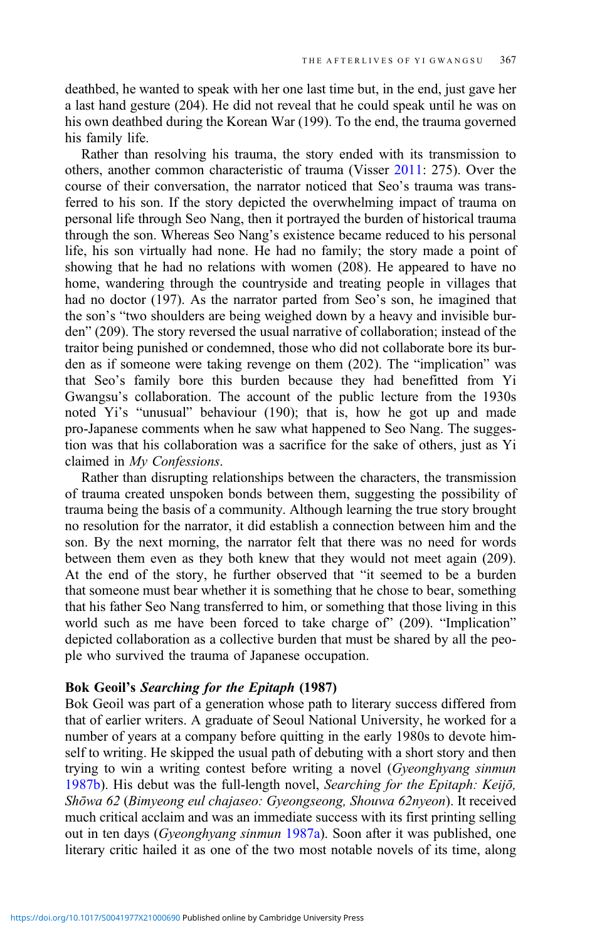deathbed, he wanted to speak with her one last time but, in the end, just gave her a last hand gesture (204). He did not reveal that he could speak until he was on his own deathbed during the Korean War (199). To the end, the trauma governed his family life.

Rather than resolving his trauma, the story ended with its transmission to others, another common characteristic of trauma (Visser [2011](#page-20-0): 275). Over the course of their conversation, the narrator noticed that Seo's trauma was transferred to his son. If the story depicted the overwhelming impact of trauma on personal life through Seo Nang, then it portrayed the burden of historical trauma through the son. Whereas Seo Nang's existence became reduced to his personal life, his son virtually had none. He had no family; the story made a point of showing that he had no relations with women (208). He appeared to have no home, wandering through the countryside and treating people in villages that had no doctor (197). As the narrator parted from Seo's son, he imagined that the son's "two shoulders are being weighed down by a heavy and invisible burden" (209). The story reversed the usual narrative of collaboration; instead of the traitor being punished or condemned, those who did not collaborate bore its burden as if someone were taking revenge on them (202). The "implication" was that Seo's family bore this burden because they had benefitted from Yi Gwangsu's collaboration. The account of the public lecture from the 1930s noted Yi's "unusual" behaviour (190); that is, how he got up and made pro-Japanese comments when he saw what happened to Seo Nang. The suggestion was that his collaboration was a sacrifice for the sake of others, just as Yi claimed in My Confessions.

Rather than disrupting relationships between the characters, the transmission of trauma created unspoken bonds between them, suggesting the possibility of trauma being the basis of a community. Although learning the true story brought no resolution for the narrator, it did establish a connection between him and the son. By the next morning, the narrator felt that there was no need for words between them even as they both knew that they would not meet again (209). At the end of the story, he further observed that "it seemed to be a burden that someone must bear whether it is something that he chose to bear, something that his father Seo Nang transferred to him, or something that those living in this world such as me have been forced to take charge of" (209). "Implication" depicted collaboration as a collective burden that must be shared by all the people who survived the trauma of Japanese occupation.

### Bok Geoil'<sup>s</sup> Searching for the Epitaph (1987)

Bok Geoil was part of a generation whose path to literary success differed from that of earlier writers. A graduate of Seoul National University, he worked for a number of years at a company before quitting in the early 1980s to devote himself to writing. He skipped the usual path of debuting with a short story and then trying to win a writing contest before writing a novel (Gyeonghyang sinmun [1987b](#page-19-0)). His debut was the full-length novel, Searching for the Epitaph: Keijō, Shōwa 62 (Bimyeong eul chajaseo: Gyeongseong, Shouwa 62nyeon). It received much critical acclaim and was an immediate success with its first printing selling out in ten days (Gyeonghyang sinmun [1987a](#page-19-0)). Soon after it was published, one literary critic hailed it as one of the two most notable novels of its time, along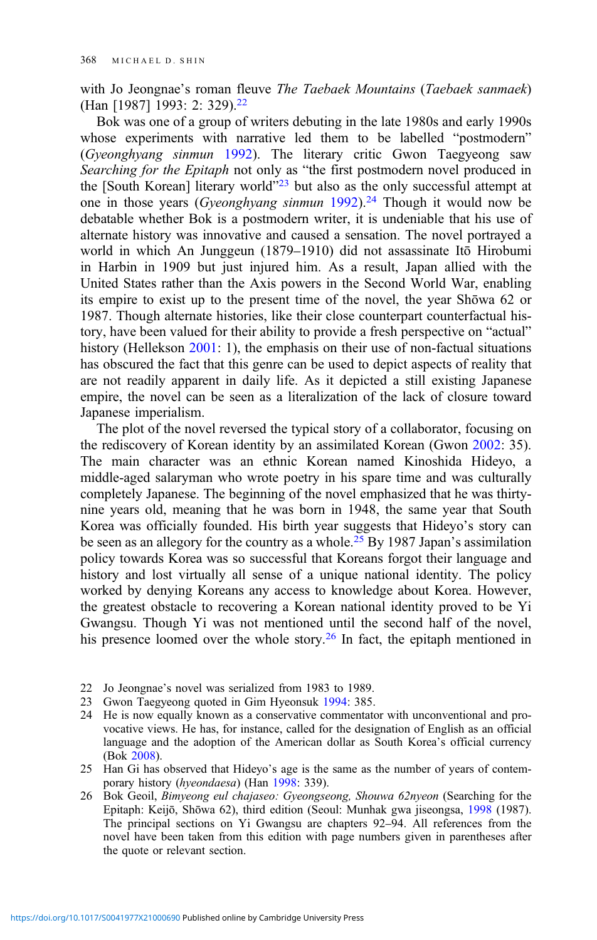with Jo Jeongnae's roman fleuve The Taebaek Mountains (Taebaek sanmaek) (Han [1987] 1993: 2: 329).<sup>22</sup>

Bok was one of a group of writers debuting in the late 1980s and early 1990s whose experiments with narrative led them to be labelled "postmodern" (Gyeonghyang sinmun [1992](#page-19-0)). The literary critic Gwon Taegyeong saw Searching for the Epitaph not only as "the first postmodern novel produced in the [South Korean] literary world"<sup>23</sup> but also as the only successful attempt at one in those years (*Gyeonghyang sinmun* [1992\)](#page-19-0).<sup>24</sup> Though it would now be debatable whether Bok is a postmodern writer, it is undeniable that his use of alternate history was innovative and caused a sensation. The novel portrayed a world in which An Junggeun (1879–1910) did not assassinate Itō Hirobumi in Harbin in 1909 but just injured him. As a result, Japan allied with the United States rather than the Axis powers in the Second World War, enabling its empire to exist up to the present time of the novel, the year Shōwa 62 or 1987. Though alternate histories, like their close counterpart counterfactual history, have been valued for their ability to provide a fresh perspective on "actual" history (Hellekson [2001](#page-19-0): 1), the emphasis on their use of non-factual situations has obscured the fact that this genre can be used to depict aspects of reality that are not readily apparent in daily life. As it depicted a still existing Japanese empire, the novel can be seen as a literalization of the lack of closure toward Japanese imperialism.

The plot of the novel reversed the typical story of a collaborator, focusing on the rediscovery of Korean identity by an assimilated Korean (Gwon [2002](#page-19-0): 35). The main character was an ethnic Korean named Kinoshida Hideyo, a middle-aged salaryman who wrote poetry in his spare time and was culturally completely Japanese. The beginning of the novel emphasized that he was thirtynine years old, meaning that he was born in 1948, the same year that South Korea was officially founded. His birth year suggests that Hideyo's story can be seen as an allegory for the country as a whole.<sup>25</sup> By 1987 Japan's assimilation policy towards Korea was so successful that Koreans forgot their language and history and lost virtually all sense of a unique national identity. The policy worked by denying Koreans any access to knowledge about Korea. However, the greatest obstacle to recovering a Korean national identity proved to be Yi Gwangsu. Though Yi was not mentioned until the second half of the novel, his presence loomed over the whole story.<sup>26</sup> In fact, the epitaph mentioned in

- 22 Jo Jeongnae's novel was serialized from 1983 to 1989.
- 23 Gwon Taegyeong quoted in Gim Hyeonsuk [1994](#page-18-0): 385.
- 24 He is now equally known as a conservative commentator with unconventional and provocative views. He has, for instance, called for the designation of English as an official language and the adoption of the American dollar as South Korea's official currency (Bok [2008](#page-18-0)).
- 25 Han Gi has observed that Hideyo's age is the same as the number of years of contemporary history (hyeondaesa) (Han [1998](#page-19-0): 339).
- 26 Bok Geoil, Bimyeong eul chajaseo: Gyeongseong, Shouwa 62nyeon (Searching for the Epitaph: Keijō, Shōwa 62), third edition (Seoul: Munhak gwa jiseongsa, [1998](#page-18-0) (1987). The principal sections on Yi Gwangsu are chapters 92–94. All references from the novel have been taken from this edition with page numbers given in parentheses after the quote or relevant section.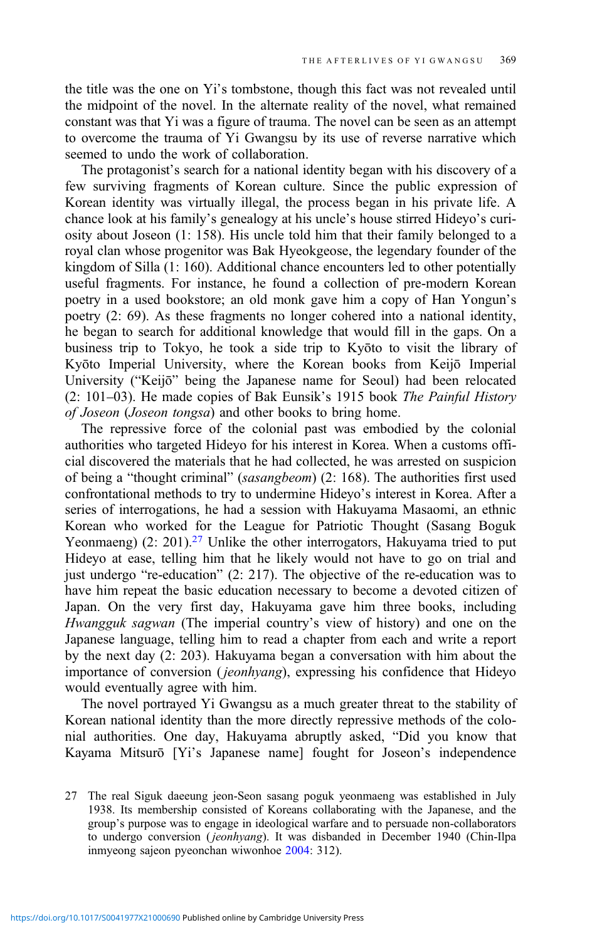the title was the one on Yi's tombstone, though this fact was not revealed until the midpoint of the novel. In the alternate reality of the novel, what remained constant was that Yi was a figure of trauma. The novel can be seen as an attempt to overcome the trauma of Yi Gwangsu by its use of reverse narrative which seemed to undo the work of collaboration.

The protagonist's search for a national identity began with his discovery of a few surviving fragments of Korean culture. Since the public expression of Korean identity was virtually illegal, the process began in his private life. A chance look at his family's genealogy at his uncle's house stirred Hideyo's curiosity about Joseon (1: 158). His uncle told him that their family belonged to a royal clan whose progenitor was Bak Hyeokgeose, the legendary founder of the kingdom of Silla (1: 160). Additional chance encounters led to other potentially useful fragments. For instance, he found a collection of pre-modern Korean poetry in a used bookstore; an old monk gave him a copy of Han Yongun's poetry (2: 69). As these fragments no longer cohered into a national identity, he began to search for additional knowledge that would fill in the gaps. On a business trip to Tokyo, he took a side trip to Kyōto to visit the library of Kyōto Imperial University, where the Korean books from Keijō Imperial University ("Keijō" being the Japanese name for Seoul) had been relocated (2: 101–03). He made copies of Bak Eunsik's 1915 book The Painful History of Joseon (Joseon tongsa) and other books to bring home.

The repressive force of the colonial past was embodied by the colonial authorities who targeted Hideyo for his interest in Korea. When a customs official discovered the materials that he had collected, he was arrested on suspicion of being a "thought criminal" (sasangbeom) (2: 168). The authorities first used confrontational methods to try to undermine Hideyo's interest in Korea. After a series of interrogations, he had a session with Hakuyama Masaomi, an ethnic Korean who worked for the League for Patriotic Thought (Sasang Boguk Yeonmaeng)  $(2: 201).<sup>27</sup>$  Unlike the other interrogators, Hakuyama tried to put Hideyo at ease, telling him that he likely would not have to go on trial and just undergo "re-education" (2: 217). The objective of the re-education was to have him repeat the basic education necessary to become a devoted citizen of Japan. On the very first day, Hakuyama gave him three books, including Hwangguk sagwan (The imperial country's view of history) and one on the Japanese language, telling him to read a chapter from each and write a report by the next day (2: 203). Hakuyama began a conversation with him about the importance of conversion ( jeonhyang), expressing his confidence that Hideyo would eventually agree with him.

The novel portrayed Yi Gwangsu as a much greater threat to the stability of Korean national identity than the more directly repressive methods of the colonial authorities. One day, Hakuyama abruptly asked, "Did you know that Kayama Mitsurō [Yi's Japanese name] fought for Joseon's independence

<sup>27</sup> The real Siguk daeeung jeon-Seon sasang poguk yeonmaeng was established in July 1938. Its membership consisted of Koreans collaborating with the Japanese, and the group's purpose was to engage in ideological warfare and to persuade non-collaborators to undergo conversion (*jeonhyang*). It was disbanded in December 1940 (Chin-Ilpa inmyeong sajeon pyeonchan wiwonhoe [2004:](#page-18-0) 312).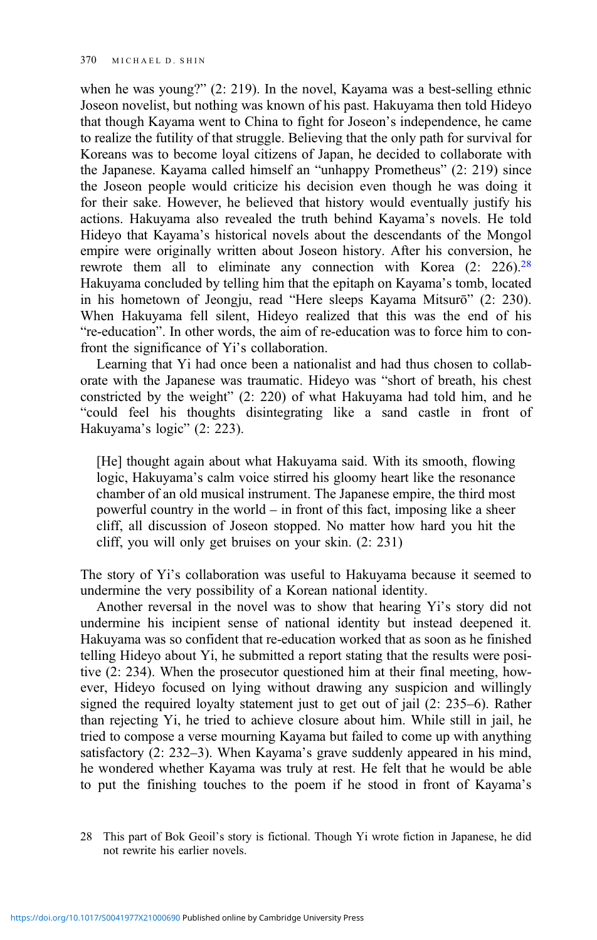when he was young?" (2: 219). In the novel, Kayama was a best-selling ethnic Joseon novelist, but nothing was known of his past. Hakuyama then told Hideyo that though Kayama went to China to fight for Joseon's independence, he came to realize the futility of that struggle. Believing that the only path for survival for Koreans was to become loyal citizens of Japan, he decided to collaborate with the Japanese. Kayama called himself an "unhappy Prometheus" (2: 219) since the Joseon people would criticize his decision even though he was doing it for their sake. However, he believed that history would eventually justify his actions. Hakuyama also revealed the truth behind Kayama's novels. He told Hideyo that Kayama's historical novels about the descendants of the Mongol empire were originally written about Joseon history. After his conversion, he rewrote them all to eliminate any connection with Korea  $(2: 226)^{28}$ Hakuyama concluded by telling him that the epitaph on Kayama's tomb, located in his hometown of Jeongju, read "Here sleeps Kayama Mitsurō" (2: 230). When Hakuyama fell silent, Hideyo realized that this was the end of his "re-education". In other words, the aim of re-education was to force him to confront the significance of Yi's collaboration.

Learning that Yi had once been a nationalist and had thus chosen to collaborate with the Japanese was traumatic. Hideyo was "short of breath, his chest constricted by the weight" (2: 220) of what Hakuyama had told him, and he "could feel his thoughts disintegrating like a sand castle in front of Hakuyama's logic" (2: 223).

[He] thought again about what Hakuyama said. With its smooth, flowing logic, Hakuyama's calm voice stirred his gloomy heart like the resonance chamber of an old musical instrument. The Japanese empire, the third most powerful country in the world – in front of this fact, imposing like a sheer cliff, all discussion of Joseon stopped. No matter how hard you hit the cliff, you will only get bruises on your skin. (2: 231)

The story of Yi's collaboration was useful to Hakuyama because it seemed to undermine the very possibility of a Korean national identity.

Another reversal in the novel was to show that hearing Yi's story did not undermine his incipient sense of national identity but instead deepened it. Hakuyama was so confident that re-education worked that as soon as he finished telling Hideyo about Yi, he submitted a report stating that the results were positive (2: 234). When the prosecutor questioned him at their final meeting, however, Hideyo focused on lying without drawing any suspicion and willingly signed the required loyalty statement just to get out of jail (2: 235–6). Rather than rejecting Yi, he tried to achieve closure about him. While still in jail, he tried to compose a verse mourning Kayama but failed to come up with anything satisfactory (2: 232–3). When Kayama's grave suddenly appeared in his mind, he wondered whether Kayama was truly at rest. He felt that he would be able to put the finishing touches to the poem if he stood in front of Kayama's

<sup>28</sup> This part of Bok Geoil's story is fictional. Though Yi wrote fiction in Japanese, he did not rewrite his earlier novels.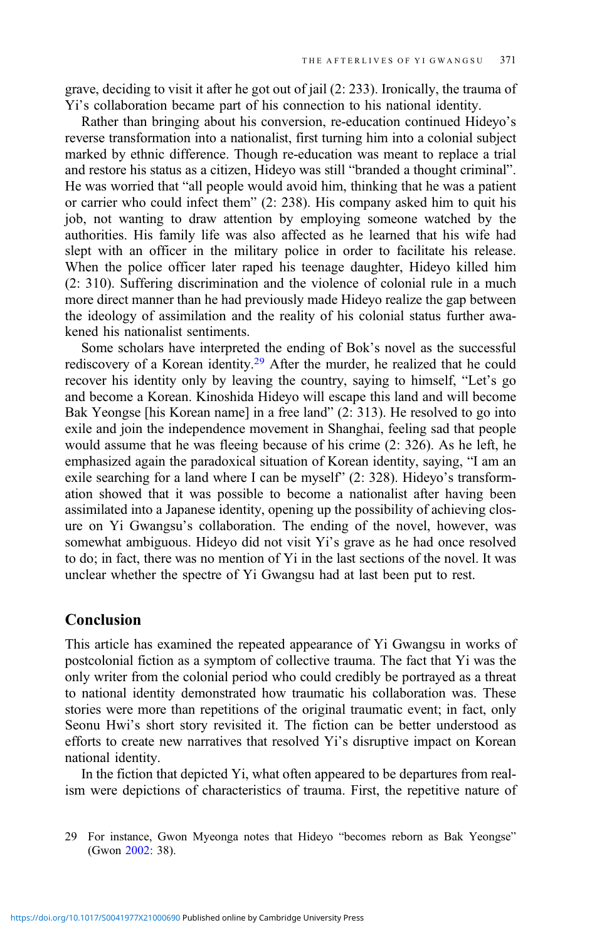grave, deciding to visit it after he got out of jail (2: 233). Ironically, the trauma of Yi's collaboration became part of his connection to his national identity.

Rather than bringing about his conversion, re-education continued Hideyo's reverse transformation into a nationalist, first turning him into a colonial subject marked by ethnic difference. Though re-education was meant to replace a trial and restore his status as a citizen, Hideyo was still "branded a thought criminal". He was worried that "all people would avoid him, thinking that he was a patient or carrier who could infect them" (2: 238). His company asked him to quit his job, not wanting to draw attention by employing someone watched by the authorities. His family life was also affected as he learned that his wife had slept with an officer in the military police in order to facilitate his release. When the police officer later raped his teenage daughter, Hideyo killed him (2: 310). Suffering discrimination and the violence of colonial rule in a much more direct manner than he had previously made Hideyo realize the gap between the ideology of assimilation and the reality of his colonial status further awakened his nationalist sentiments.

Some scholars have interpreted the ending of Bok's novel as the successful rediscovery of a Korean identity.<sup>29</sup> After the murder, he realized that he could recover his identity only by leaving the country, saying to himself, "Let's go and become a Korean. Kinoshida Hideyo will escape this land and will become Bak Yeongse [his Korean name] in a free land" (2: 313). He resolved to go into exile and join the independence movement in Shanghai, feeling sad that people would assume that he was fleeing because of his crime (2: 326). As he left, he emphasized again the paradoxical situation of Korean identity, saying, "I am an exile searching for a land where I can be myself" (2: 328). Hideyo's transformation showed that it was possible to become a nationalist after having been assimilated into a Japanese identity, opening up the possibility of achieving closure on Yi Gwangsu's collaboration. The ending of the novel, however, was somewhat ambiguous. Hideyo did not visit Yi's grave as he had once resolved to do; in fact, there was no mention of Yi in the last sections of the novel. It was unclear whether the spectre of Yi Gwangsu had at last been put to rest.

# Conclusion

This article has examined the repeated appearance of Yi Gwangsu in works of postcolonial fiction as a symptom of collective trauma. The fact that Yi was the only writer from the colonial period who could credibly be portrayed as a threat to national identity demonstrated how traumatic his collaboration was. These stories were more than repetitions of the original traumatic event; in fact, only Seonu Hwi's short story revisited it. The fiction can be better understood as efforts to create new narratives that resolved Yi's disruptive impact on Korean national identity.

In the fiction that depicted Yi, what often appeared to be departures from realism were depictions of characteristics of trauma. First, the repetitive nature of

<sup>29</sup> For instance, Gwon Myeonga notes that Hideyo "becomes reborn as Bak Yeongse" (Gwon [2002](#page-19-0): 38).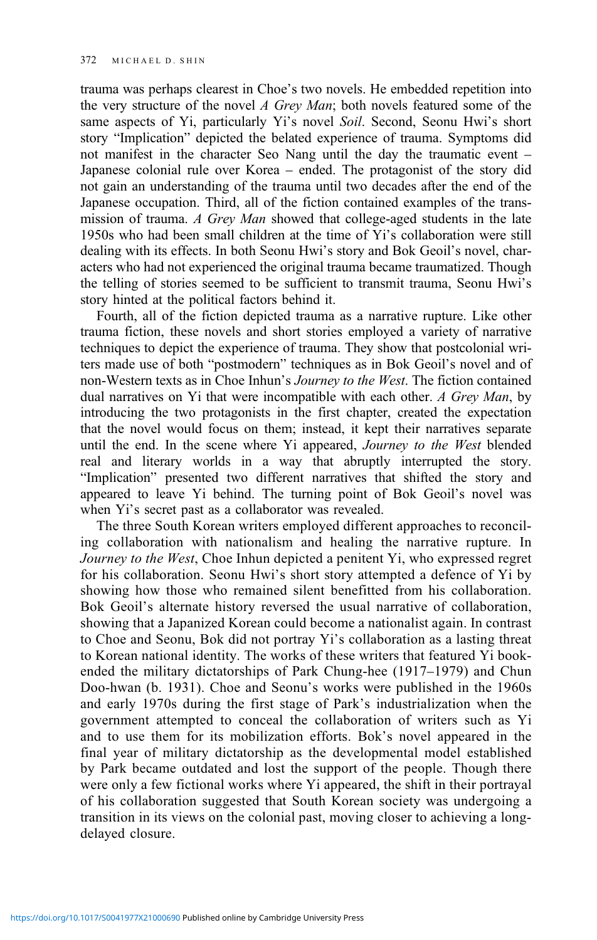trauma was perhaps clearest in Choe's two novels. He embedded repetition into the very structure of the novel A Grey Man; both novels featured some of the same aspects of Yi, particularly Yi's novel Soil. Second, Seonu Hwi's short story "Implication" depicted the belated experience of trauma. Symptoms did not manifest in the character Seo Nang until the day the traumatic event – Japanese colonial rule over Korea – ended. The protagonist of the story did not gain an understanding of the trauma until two decades after the end of the Japanese occupation. Third, all of the fiction contained examples of the transmission of trauma. A Grey Man showed that college-aged students in the late 1950s who had been small children at the time of Yi's collaboration were still dealing with its effects. In both Seonu Hwi's story and Bok Geoil's novel, characters who had not experienced the original trauma became traumatized. Though the telling of stories seemed to be sufficient to transmit trauma, Seonu Hwi's story hinted at the political factors behind it.

Fourth, all of the fiction depicted trauma as a narrative rupture. Like other trauma fiction, these novels and short stories employed a variety of narrative techniques to depict the experience of trauma. They show that postcolonial writers made use of both "postmodern" techniques as in Bok Geoil's novel and of non-Western texts as in Choe Inhun's Journey to the West. The fiction contained dual narratives on Yi that were incompatible with each other. A Grey Man, by introducing the two protagonists in the first chapter, created the expectation that the novel would focus on them; instead, it kept their narratives separate until the end. In the scene where Yi appeared, Journey to the West blended real and literary worlds in a way that abruptly interrupted the story. "Implication" presented two different narratives that shifted the story and appeared to leave Yi behind. The turning point of Bok Geoil's novel was when Yi's secret past as a collaborator was revealed.

The three South Korean writers employed different approaches to reconciling collaboration with nationalism and healing the narrative rupture. In Journey to the West, Choe Inhun depicted a penitent Yi, who expressed regret for his collaboration. Seonu Hwi's short story attempted a defence of Yi by showing how those who remained silent benefitted from his collaboration. Bok Geoil's alternate history reversed the usual narrative of collaboration, showing that a Japanized Korean could become a nationalist again. In contrast to Choe and Seonu, Bok did not portray Yi's collaboration as a lasting threat to Korean national identity. The works of these writers that featured Yi bookended the military dictatorships of Park Chung-hee (1917–1979) and Chun Doo-hwan (b. 1931). Choe and Seonu's works were published in the 1960s and early 1970s during the first stage of Park's industrialization when the government attempted to conceal the collaboration of writers such as Yi and to use them for its mobilization efforts. Bok's novel appeared in the final year of military dictatorship as the developmental model established by Park became outdated and lost the support of the people. Though there were only a few fictional works where Yi appeared, the shift in their portrayal of his collaboration suggested that South Korean society was undergoing a transition in its views on the colonial past, moving closer to achieving a longdelayed closure.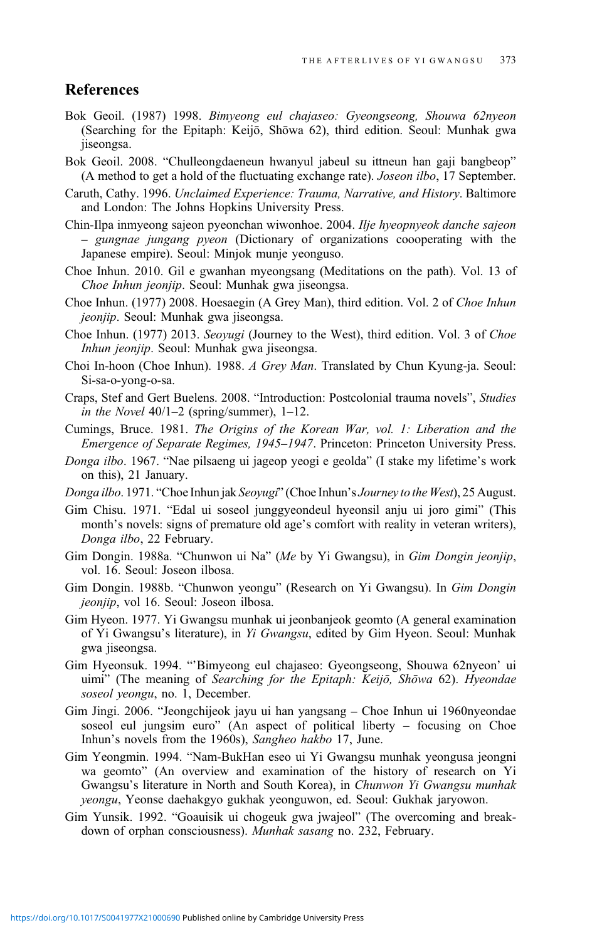## <span id="page-18-0"></span>References

- Bok Geoil. (1987) 1998. Bimyeong eul chajaseo: Gyeongseong, Shouwa 62nyeon (Searching for the Epitaph: Keijō, Shōwa 62), third edition. Seoul: Munhak gwa jiseongsa.
- Bok Geoil. 2008. "Chulleongdaeneun hwanyul jabeul su ittneun han gaji bangbeop" (A method to get a hold of the fluctuating exchange rate). Joseon ilbo, 17 September.
- Caruth, Cathy. 1996. Unclaimed Experience: Trauma, Narrative, and History. Baltimore and London: The Johns Hopkins University Press.
- Chin-Ilpa inmyeong sajeon pyeonchan wiwonhoe. 2004. Ilje hyeopnyeok danche sajeon – gungnae jungang pyeon (Dictionary of organizations coooperating with the Japanese empire). Seoul: Minjok munje yeonguso.
- Choe Inhun. 2010. Gil e gwanhan myeongsang (Meditations on the path). Vol. 13 of Choe Inhun jeonjip. Seoul: Munhak gwa jiseongsa.
- Choe Inhun. (1977) 2008. Hoesaegin (A Grey Man), third edition. Vol. 2 of Choe Inhun jeonjip. Seoul: Munhak gwa jiseongsa.
- Choe Inhun. (1977) 2013. Seoyugi (Journey to the West), third edition. Vol. 3 of Choe Inhun jeonjip. Seoul: Munhak gwa jiseongsa.
- Choi In-hoon (Choe Inhun). 1988. A Grey Man. Translated by Chun Kyung-ja. Seoul: Si-sa-o-yong-o-sa.
- Craps, Stef and Gert Buelens. 2008. "Introduction: Postcolonial trauma novels", Studies in the Novel  $40/1-2$  (spring/summer),  $1-12$ .
- Cumings, Bruce. 1981. The Origins of the Korean War, vol. 1: Liberation and the Emergence of Separate Regimes, 1945–1947. Princeton: Princeton University Press.
- Donga ilbo. 1967. "Nae pilsaeng ui jageop yeogi e geolda" (I stake my lifetime's work on this), 21 January.
- Donga ilbo. 1971. "Choe Inhun jak Seoyugi" (Choe Inhun's Journey to the West), 25 August.
- Gim Chisu. 1971. "Edal ui soseol junggyeondeul hyeonsil anju ui joro gimi" (This month's novels: signs of premature old age's comfort with reality in veteran writers), Donga ilbo, 22 February.
- Gim Dongin. 1988a. "Chunwon ui Na" (Me by Yi Gwangsu), in Gim Dongin jeonjip, vol. 16. Seoul: Joseon ilbosa.
- Gim Dongin. 1988b. "Chunwon yeongu" (Research on Yi Gwangsu). In Gim Dongin jeonjip, vol 16. Seoul: Joseon ilbosa.
- Gim Hyeon. 1977. Yi Gwangsu munhak ui jeonbanjeok geomto (A general examination of Yi Gwangsu's literature), in Yi Gwangsu, edited by Gim Hyeon. Seoul: Munhak gwa jiseongsa.
- Gim Hyeonsuk. 1994. "'Bimyeong eul chajaseo: Gyeongseong, Shouwa 62nyeon' ui uimi" (The meaning of Searching for the Epitaph: Keijō, Shōwa 62). Hyeondae soseol yeongu, no. 1, December.
- Gim Jingi. 2006. "Jeongchijeok jayu ui han yangsang Choe Inhun ui 1960nyeondae soseol eul jungsim euro" (An aspect of political liberty – focusing on Choe Inhun's novels from the 1960s), Sangheo hakbo 17, June.
- Gim Yeongmin. 1994. "Nam-BukHan eseo ui Yi Gwangsu munhak yeongusa jeongni wa geomto" (An overview and examination of the history of research on Yi Gwangsu's literature in North and South Korea), in Chunwon Yi Gwangsu munhak yeongu, Yeonse daehakgyo gukhak yeonguwon, ed. Seoul: Gukhak jaryowon.
- Gim Yunsik. 1992. "Goauisik ui chogeuk gwa jwajeol" (The overcoming and breakdown of orphan consciousness). Munhak sasang no. 232, February.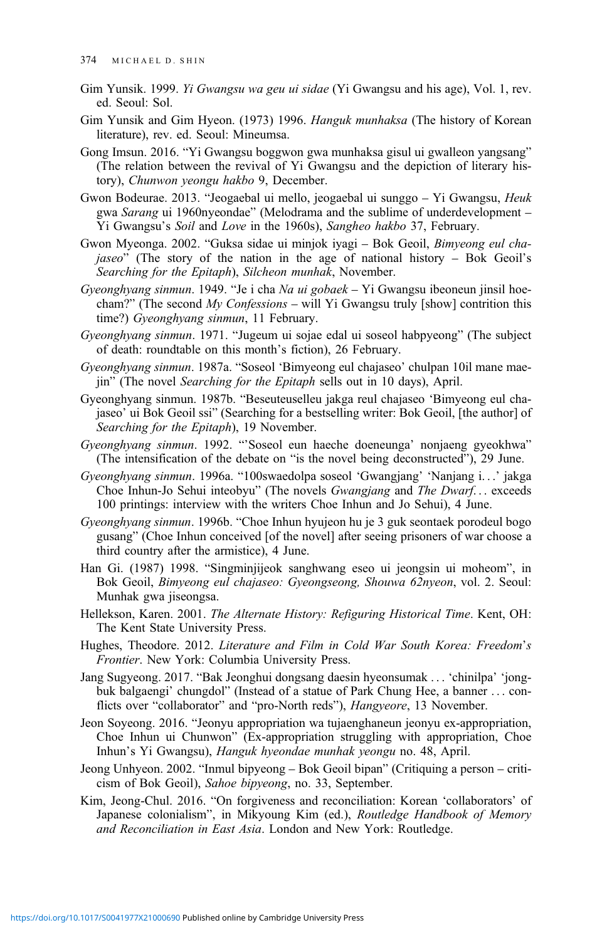- <span id="page-19-0"></span>Gim Yunsik. 1999. Yi Gwangsu wa geu ui sidae (Yi Gwangsu and his age), Vol. 1, rev. ed. Seoul: Sol.
- Gim Yunsik and Gim Hyeon. (1973) 1996. Hanguk munhaksa (The history of Korean literature), rev. ed. Seoul: Mineumsa.
- Gong Imsun. 2016. "Yi Gwangsu boggwon gwa munhaksa gisul ui gwalleon yangsang" (The relation between the revival of Yi Gwangsu and the depiction of literary history), Chunwon yeongu hakbo 9, December.
- Gwon Bodeurae. 2013. "Jeogaebal ui mello, jeogaebal ui sunggo Yi Gwangsu, Heuk gwa Sarang ui 1960nyeondae" (Melodrama and the sublime of underdevelopment – Yi Gwangsu's Soil and Love in the 1960s), Sangheo hakbo 37, February.
- Gwon Myeonga. 2002. "Guksa sidae ui minjok iyagi Bok Geoil, Bimyeong eul chajaseo" (The story of the nation in the age of national history – Bok Geoil's Searching for the Epitaph), Silcheon munhak, November.
- Gyeonghyang sinmun. 1949. "Je i cha Na ui gobaek Yi Gwangsu ibeoneun jinsil hoecham?" (The second My Confessions – will Yi Gwangsu truly [show] contrition this time?) Gyeonghyang sinmun, 11 February.
- Gyeonghyang sinmun. 1971. "Jugeum ui sojae edal ui soseol habpyeong" (The subject of death: roundtable on this month's fiction), 26 February.
- Gyeonghyang sinmun. 1987a. "Soseol 'Bimyeong eul chajaseo' chulpan 10il mane maejin" (The novel Searching for the Epitaph sells out in 10 days), April.
- Gyeonghyang sinmun. 1987b. "Beseuteuselleu jakga reul chajaseo 'Bimyeong eul chajaseo' ui Bok Geoil ssi" (Searching for a bestselling writer: Bok Geoil, [the author] of Searching for the Epitaph), 19 November.
- Gyeonghyang sinmun. 1992. "'Soseol eun haeche doeneunga' nonjaeng gyeokhwa" (The intensification of the debate on "is the novel being deconstructed"), 29 June.
- Gyeonghyang sinmun. 1996a. "100swaedolpa soseol 'Gwangjang' 'Nanjang i...' jakga Choe Inhun-Jo Sehui inteobyu" (The novels Gwangjang and The Dwarf... exceeds 100 printings: interview with the writers Choe Inhun and Jo Sehui), 4 June.
- Gyeonghyang sinmun. 1996b. "Choe Inhun hyujeon hu je 3 guk seontaek porodeul bogo gusang" (Choe Inhun conceived [of the novel] after seeing prisoners of war choose a third country after the armistice), 4 June.
- Han Gi. (1987) 1998. "Singminjijeok sanghwang eseo ui jeongsin ui moheom", in Bok Geoil, Bimyeong eul chajaseo: Gyeongseong, Shouwa 62nyeon, vol. 2. Seoul: Munhak gwa jiseongsa.
- Hellekson, Karen. 2001. The Alternate History: Refiguring Historical Time. Kent, OH: The Kent State University Press.
- Hughes, Theodore. 2012. Literature and Film in Cold War South Korea: Freedom's Frontier. New York: Columbia University Press.
- Jang Sugyeong. 2017. "Bak Jeonghui dongsang daesin hyeonsumak ... 'chinilpa' 'jongbuk balgaengi' chungdol" (Instead of a statue of Park Chung Hee, a banner ... conflicts over "collaborator" and "pro-North reds"), Hangyeore, 13 November.
- Jeon Soyeong. 2016. "Jeonyu appropriation wa tujaenghaneun jeonyu ex-appropriation, Choe Inhun ui Chunwon" (Ex-appropriation struggling with appropriation, Choe Inhun's Yi Gwangsu), Hanguk hyeondae munhak yeongu no. 48, April.
- Jeong Unhyeon. 2002. "Inmul bipyeong Bok Geoil bipan" (Critiquing a person criticism of Bok Geoil), Sahoe bipyeong, no. 33, September.
- Kim, Jeong-Chul. 2016. "On forgiveness and reconciliation: Korean 'collaborators' of Japanese colonialism", in Mikyoung Kim (ed.), Routledge Handbook of Memory and Reconciliation in East Asia. London and New York: Routledge.